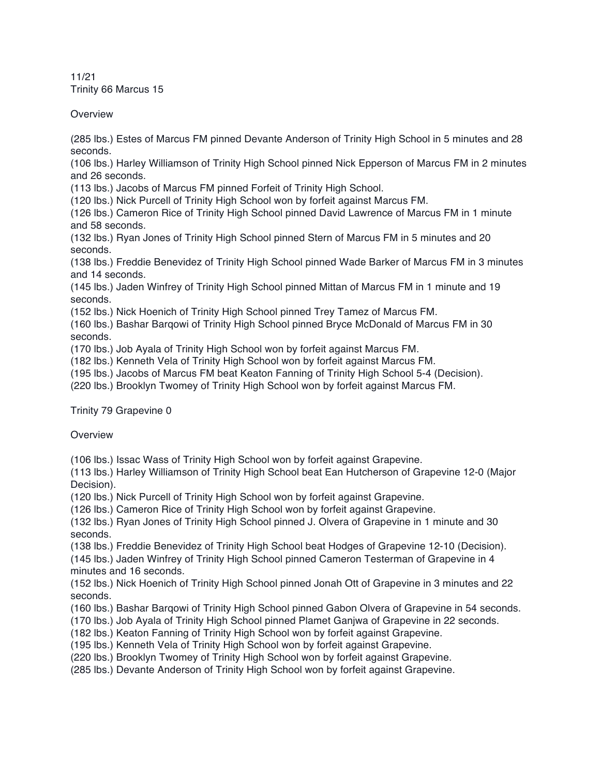11/21 Trinity 66 Marcus 15

**Overview** 

(285 lbs.) Estes of Marcus FM pinned Devante Anderson of Trinity High School in 5 minutes and 28 seconds.

(106 lbs.) Harley Williamson of Trinity High School pinned Nick Epperson of Marcus FM in 2 minutes and 26 seconds.

(113 lbs.) Jacobs of Marcus FM pinned Forfeit of Trinity High School.

(120 lbs.) Nick Purcell of Trinity High School won by forfeit against Marcus FM.

(126 lbs.) Cameron Rice of Trinity High School pinned David Lawrence of Marcus FM in 1 minute and 58 seconds.

(132 lbs.) Ryan Jones of Trinity High School pinned Stern of Marcus FM in 5 minutes and 20 seconds.

(138 lbs.) Freddie Benevidez of Trinity High School pinned Wade Barker of Marcus FM in 3 minutes and 14 seconds.

(145 lbs.) Jaden Winfrey of Trinity High School pinned Mittan of Marcus FM in 1 minute and 19 seconds.

(152 lbs.) Nick Hoenich of Trinity High School pinned Trey Tamez of Marcus FM.

(160 lbs.) Bashar Barqowi of Trinity High School pinned Bryce McDonald of Marcus FM in 30 seconds.

(170 lbs.) Job Ayala of Trinity High School won by forfeit against Marcus FM.

(182 lbs.) Kenneth Vela of Trinity High School won by forfeit against Marcus FM.

(195 lbs.) Jacobs of Marcus FM beat Keaton Fanning of Trinity High School 5-4 (Decision).

(220 lbs.) Brooklyn Twomey of Trinity High School won by forfeit against Marcus FM.

Trinity 79 Grapevine 0

**Overview** 

(106 lbs.) Issac Wass of Trinity High School won by forfeit against Grapevine.

(113 lbs.) Harley Williamson of Trinity High School beat Ean Hutcherson of Grapevine 12-0 (Major Decision).

(120 lbs.) Nick Purcell of Trinity High School won by forfeit against Grapevine.

(126 lbs.) Cameron Rice of Trinity High School won by forfeit against Grapevine.

(132 lbs.) Ryan Jones of Trinity High School pinned J. Olvera of Grapevine in 1 minute and 30 seconds.

(138 lbs.) Freddie Benevidez of Trinity High School beat Hodges of Grapevine 12-10 (Decision).

(145 lbs.) Jaden Winfrey of Trinity High School pinned Cameron Testerman of Grapevine in 4 minutes and 16 seconds.

(152 lbs.) Nick Hoenich of Trinity High School pinned Jonah Ott of Grapevine in 3 minutes and 22 seconds.

(160 lbs.) Bashar Barqowi of Trinity High School pinned Gabon Olvera of Grapevine in 54 seconds.

(170 lbs.) Job Ayala of Trinity High School pinned Plamet Ganjwa of Grapevine in 22 seconds.

(182 lbs.) Keaton Fanning of Trinity High School won by forfeit against Grapevine.

(195 lbs.) Kenneth Vela of Trinity High School won by forfeit against Grapevine.

(220 lbs.) Brooklyn Twomey of Trinity High School won by forfeit against Grapevine.

(285 lbs.) Devante Anderson of Trinity High School won by forfeit against Grapevine.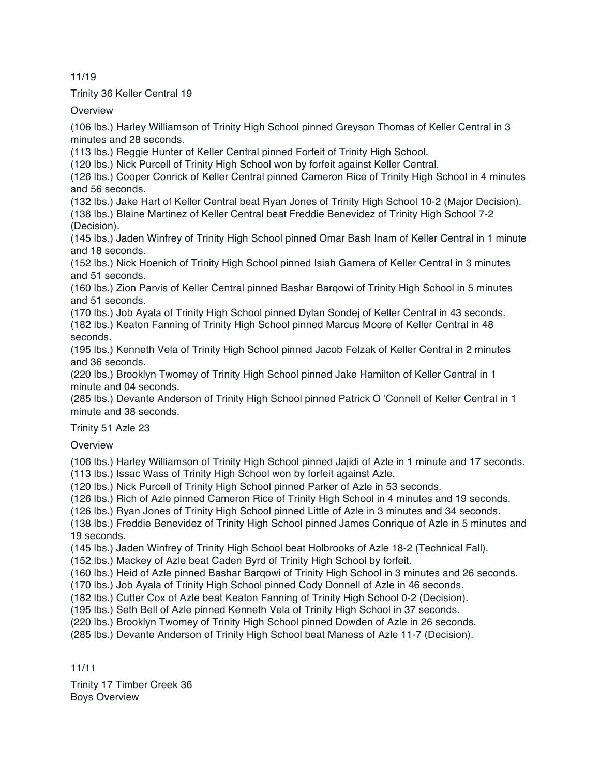## 11/19

## Trinity 36 Keller Central 19

**Overview** 

(106 lbs.) Harley Williamson of Trinity High School pinned Greyson Thomas of Keller Central in 3 minutes and 28 seconds.

(113 lbs.) Reggie Hunter of Keller Central pinned Forfeit of Trinity High School.

(120 lbs.) Nick Purcell of Trinity High School won by forfeit against Keller Central.

(126 lbs.) Cooper Conrick of Keller Central pinned Cameron Rice of Trinity High School in 4 minutes and 56 seconds.

(132 lbs.) Jake Hart of Keller Central beat Ryan Jones of Trinity High School 10-2 (Major Decision). (138 lbs.) Blaine Martinez of Keller Central beat Freddie Benevidez of Trinity High School 7-2 (Decision).

(145 lbs.) Jaden Winfrey of Trinity High School pinned Omar Bash Inam of Keller Central in 1 minute and 18 seconds.

(152 lbs.) Nick Hoenich of Trinity High School pinned Isiah Gamera of Keller Central in 3 minutes and 51 seconds.

(160 lbs.) Zion Parvis of Keller Central pinned Bashar Barqowi of Trinity High School in 5 minutes and 51 seconds.

(170 lbs.) Job Ayala of Trinity High School pinned Dylan Sondej of Keller Central in 43 seconds.

(182 lbs.) Keaton Fanning of Trinity High School pinned Marcus Moore of Keller Central in 48 seconds.

(195 lbs.) Kenneth Vela of Trinity High School pinned Jacob Felzak of Keller Central in 2 minutes and 36 seconds.

(220 lbs.) Brooklyn Twomey of Trinity High School pinned Jake Hamilton of Keller Central in 1 minute and 04 seconds.

(285 lbs.) Devante Anderson of Trinity High School pinned Patrick O 'Connell of Keller Central in 1 minute and 38 seconds.

Trinity 51 Azle 23

**Overview** 

(106 lbs.) Harley Williamson of Trinity High School pinned Jajidi of Azle in 1 minute and 17 seconds. (113 lbs.) Issac Wass of Trinity High School won by forfeit against Azle.

(120 lbs.) Nick Purcell of Trinity High School pinned Parker of Azle in 53 seconds.

(126 lbs.) Rich of Azle pinned Cameron Rice of Trinity High School in 4 minutes and 19 seconds.

(126 lbs.) Ryan Jones of Trinity High School pinned Little of Azle in 3 minutes and 34 seconds.

(138 lbs.) Freddie Benevidez of Trinity High School pinned James Conrique of Azle in 5 minutes and 19 seconds.

(145 lbs.) Jaden Winfrey of Trinity High School beat Holbrooks of Azle 18-2 (Technical Fall).

(152 lbs.) Mackey of Azle beat Caden Byrd of Trinity High School by forfeit.

(160 lbs.) Heid of Azle pinned Bashar Barqowi of Trinity High School in 3 minutes and 26 seconds.

(170 lbs.) Job Ayala of Trinity High School pinned Cody Donnell of Azle in 46 seconds.

(182 lbs.) Cutter Cox of Azle beat Keaton Fanning of Trinity High School 0-2 (Decision).

(195 lbs.) Seth Bell of Azle pinned Kenneth Vela of Trinity High School in 37 seconds.

(220 lbs.) Brooklyn Twomey of Trinity High School pinned Dowden of Azle in 26 seconds.

(285 lbs.) Devante Anderson of Trinity High School beat Maness of Azle 11-7 (Decision).

11/11

Trinity 17 Timber Creek 36 Boys Overview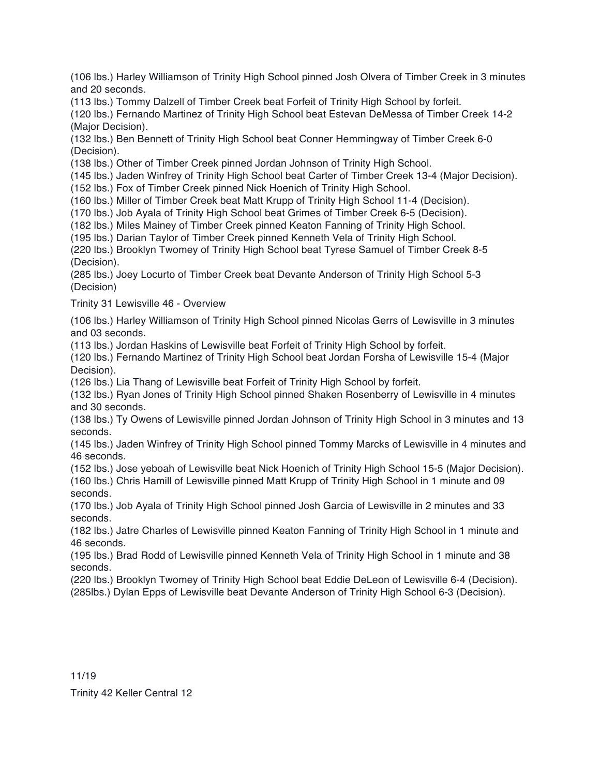(106 lbs.) Harley Williamson of Trinity High School pinned Josh Olvera of Timber Creek in 3 minutes and 20 seconds.

(113 lbs.) Tommy Dalzell of Timber Creek beat Forfeit of Trinity High School by forfeit.

(120 lbs.) Fernando Martinez of Trinity High School beat Estevan DeMessa of Timber Creek 14-2 (Major Decision).

(132 lbs.) Ben Bennett of Trinity High School beat Conner Hemmingway of Timber Creek 6-0 (Decision).

(138 lbs.) Other of Timber Creek pinned Jordan Johnson of Trinity High School.

(145 lbs.) Jaden Winfrey of Trinity High School beat Carter of Timber Creek 13-4 (Major Decision).

(152 lbs.) Fox of Timber Creek pinned Nick Hoenich of Trinity High School.

(160 lbs.) Miller of Timber Creek beat Matt Krupp of Trinity High School 11-4 (Decision).

(170 lbs.) Job Ayala of Trinity High School beat Grimes of Timber Creek 6-5 (Decision).

(182 lbs.) Miles Mainey of Timber Creek pinned Keaton Fanning of Trinity High School.

(195 lbs.) Darian Taylor of Timber Creek pinned Kenneth Vela of Trinity High School.

(220 lbs.) Brooklyn Twomey of Trinity High School beat Tyrese Samuel of Timber Creek 8-5 (Decision).

(285 lbs.) Joey Locurto of Timber Creek beat Devante Anderson of Trinity High School 5-3 (Decision)

Trinity 31 Lewisville 46 - Overview

(106 lbs.) Harley Williamson of Trinity High School pinned Nicolas Gerrs of Lewisville in 3 minutes and 03 seconds.

(113 lbs.) Jordan Haskins of Lewisville beat Forfeit of Trinity High School by forfeit.

(120 lbs.) Fernando Martinez of Trinity High School beat Jordan Forsha of Lewisville 15-4 (Major Decision).

(126 lbs.) Lia Thang of Lewisville beat Forfeit of Trinity High School by forfeit.

(132 lbs.) Ryan Jones of Trinity High School pinned Shaken Rosenberry of Lewisville in 4 minutes and 30 seconds.

(138 lbs.) Ty Owens of Lewisville pinned Jordan Johnson of Trinity High School in 3 minutes and 13 seconds.

(145 lbs.) Jaden Winfrey of Trinity High School pinned Tommy Marcks of Lewisville in 4 minutes and 46 seconds.

(152 lbs.) Jose yeboah of Lewisville beat Nick Hoenich of Trinity High School 15-5 (Major Decision). (160 lbs.) Chris Hamill of Lewisville pinned Matt Krupp of Trinity High School in 1 minute and 09 seconds.

(170 lbs.) Job Ayala of Trinity High School pinned Josh Garcia of Lewisville in 2 minutes and 33 seconds.

(182 lbs.) Jatre Charles of Lewisville pinned Keaton Fanning of Trinity High School in 1 minute and 46 seconds.

(195 lbs.) Brad Rodd of Lewisville pinned Kenneth Vela of Trinity High School in 1 minute and 38 seconds.

(220 lbs.) Brooklyn Twomey of Trinity High School beat Eddie DeLeon of Lewisville 6-4 (Decision). (285lbs.) Dylan Epps of Lewisville beat Devante Anderson of Trinity High School 6-3 (Decision).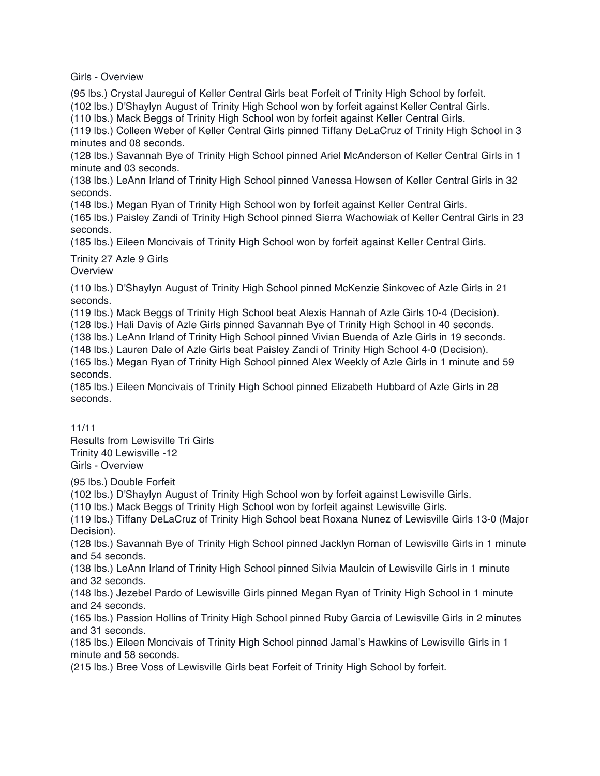Girls - Overview

(95 lbs.) Crystal Jauregui of Keller Central Girls beat Forfeit of Trinity High School by forfeit.

(102 lbs.) D'Shaylyn August of Trinity High School won by forfeit against Keller Central Girls.

(110 lbs.) Mack Beggs of Trinity High School won by forfeit against Keller Central Girls.

(119 lbs.) Colleen Weber of Keller Central Girls pinned Tiffany DeLaCruz of Trinity High School in 3 minutes and 08 seconds.

(128 lbs.) Savannah Bye of Trinity High School pinned Ariel McAnderson of Keller Central Girls in 1 minute and 03 seconds.

(138 lbs.) LeAnn Irland of Trinity High School pinned Vanessa Howsen of Keller Central Girls in 32 seconds.

(148 lbs.) Megan Ryan of Trinity High School won by forfeit against Keller Central Girls.

(165 lbs.) Paisley Zandi of Trinity High School pinned Sierra Wachowiak of Keller Central Girls in 23 seconds.

(185 lbs.) Eileen Moncivais of Trinity High School won by forfeit against Keller Central Girls.

## Trinity 27 Azle 9 Girls

**Overview** 

(110 lbs.) D'Shaylyn August of Trinity High School pinned McKenzie Sinkovec of Azle Girls in 21 seconds.

(119 lbs.) Mack Beggs of Trinity High School beat Alexis Hannah of Azle Girls 10-4 (Decision).

(128 lbs.) Hali Davis of Azle Girls pinned Savannah Bye of Trinity High School in 40 seconds.

(138 lbs.) LeAnn Irland of Trinity High School pinned Vivian Buenda of Azle Girls in 19 seconds.

(148 lbs.) Lauren Dale of Azle Girls beat Paisley Zandi of Trinity High School 4-0 (Decision).

(165 lbs.) Megan Ryan of Trinity High School pinned Alex Weekly of Azle Girls in 1 minute and 59 seconds.

(185 lbs.) Eileen Moncivais of Trinity High School pinned Elizabeth Hubbard of Azle Girls in 28 seconds.

11/11

Results from Lewisville Tri Girls Trinity 40 Lewisville -12 Girls - Overview

(95 lbs.) Double Forfeit

(102 lbs.) D'Shaylyn August of Trinity High School won by forfeit against Lewisville Girls.

(110 lbs.) Mack Beggs of Trinity High School won by forfeit against Lewisville Girls.

(119 lbs.) Tiffany DeLaCruz of Trinity High School beat Roxana Nunez of Lewisville Girls 13-0 (Major Decision).

(128 lbs.) Savannah Bye of Trinity High School pinned Jacklyn Roman of Lewisville Girls in 1 minute and 54 seconds.

(138 lbs.) LeAnn Irland of Trinity High School pinned Silvia Maulcin of Lewisville Girls in 1 minute and 32 seconds.

(148 lbs.) Jezebel Pardo of Lewisville Girls pinned Megan Ryan of Trinity High School in 1 minute and 24 seconds.

(165 lbs.) Passion Hollins of Trinity High School pinned Ruby Garcia of Lewisville Girls in 2 minutes and 31 seconds.

(185 lbs.) Eileen Moncivais of Trinity High School pinned Jamal's Hawkins of Lewisville Girls in 1 minute and 58 seconds.

(215 lbs.) Bree Voss of Lewisville Girls beat Forfeit of Trinity High School by forfeit.